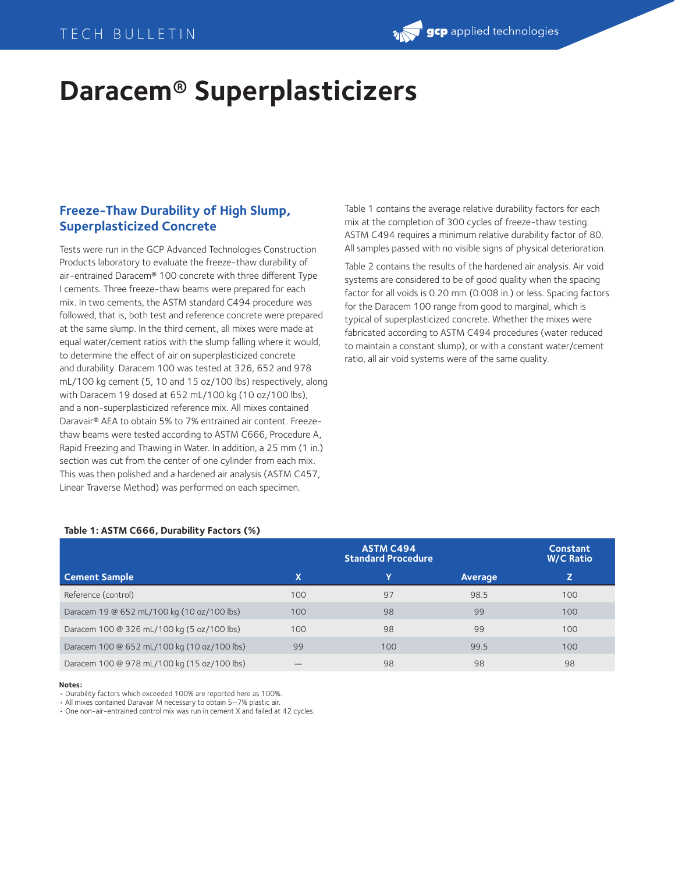# **Daracem® Superplasticizers**

## **Freeze-Thaw Durability of High Slump, Superplasticized Concrete**

Tests were run in the GCP Advanced Technologies Construction Products laboratory to evaluate the freeze-thaw durability of air-entrained Daracem® 100 concrete with three different Type I cements. Three freeze-thaw beams were prepared for each mix. In two cements, the ASTM standard C494 procedure was followed, that is, both test and reference concrete were prepared at the same slump. In the third cement, all mixes were made at equal water/cement ratios with the slump falling where it would, to determine the effect of air on superplasticized concrete and durability. Daracem 100 was tested at 326, 652 and 978 mL/100 kg cement (5, 10 and 15 oz/100 lbs) respectively, along with Daracem 19 dosed at 652 mL/100 kg (10 oz/100 lbs), and a non-superplasticized reference mix. All mixes contained Daravair® AEA to obtain 5% to 7% entrained air content. Freezethaw beams were tested according to ASTM C666, Procedure A, Rapid Freezing and Thawing in Water. In addition, a 25 mm (1 in.) section was cut from the center of one cylinder from each mix. This was then polished and a hardened air analysis (ASTM C457, Linear Traverse Method) was performed on each specimen.

Table 1 contains the average relative durability factors for each mix at the completion of 300 cycles of freeze-thaw testing. ASTM C494 requires a minimum relative durability factor of 80. All samples passed with no visible signs of physical deterioration.

Table 2 contains the results of the hardened air analysis. Air void systems are considered to be of good quality when the spacing factor for all voids is 0.20 mm (0.008 in.) or less. Spacing factors for the Daracem 100 range from good to marginal, which is typical of superplasticized concrete. Whether the mixes were fabricated according to ASTM C494 procedures (water reduced to maintain a constant slump), or with a constant water/cement ratio, all air void systems were of the same quality.

#### **Table 1: ASTM C666, Durability Factors (%)**

|                                             |     | <b>Constant</b><br><b>W/C Ratio</b> |         |     |
|---------------------------------------------|-----|-------------------------------------|---------|-----|
| <b>Cement Sample</b>                        | X   | Y                                   | Average |     |
| Reference (control)                         | 100 | 97                                  | 98.5    | 100 |
| Daracem 19 @ 652 mL/100 kg (10 oz/100 lbs)  | 100 | 98                                  | 99      | 100 |
| Daracem 100 @ 326 mL/100 kg (5 oz/100 lbs)  | 100 | 98                                  | 99      | 100 |
| Daracem 100 @ 652 mL/100 kg (10 oz/100 lbs) | 99  | 100                                 | 99.5    | 100 |
| Daracem 100 @ 978 mL/100 kg (15 oz/100 lbs) |     | 98                                  | 98      | 98  |

**Notes:**

• Durability factors which exceeded 100% are reported here as 100%.

• All mixes contained Daravair M necessary to obtain 5–7% plastic air.

• One non-air-entrained control mix was run in cement X and failed at 42 cycles.